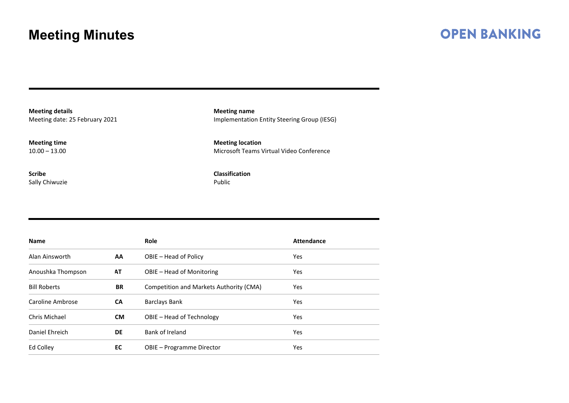#### **OPEN BANKING**

**Meeting details** Meeting date: 25 February 2021

**Meeting time**  $10.00 - 13.00$ 

**Scribe** Sally Chiwuzie **Meeting name** Implementation Entity Steering Group (IESG)

**Meeting location** Microsoft Teams Virtual Video Conference

**Classification** Public

| <b>Name</b>         |           | Role                                    | <b>Attendance</b> |
|---------------------|-----------|-----------------------------------------|-------------------|
| Alan Ainsworth      | AA        | OBIE – Head of Policy                   | Yes               |
| Anoushka Thompson   | AT        | OBIE – Head of Monitoring               | <b>Yes</b>        |
| <b>Bill Roberts</b> | <b>BR</b> | Competition and Markets Authority (CMA) | Yes               |
| Caroline Ambrose    | <b>CA</b> | <b>Barclays Bank</b>                    | <b>Yes</b>        |
| Chris Michael       | <b>CM</b> | OBIE – Head of Technology               | <b>Yes</b>        |
| Daniel Ehreich      | <b>DE</b> | Bank of Ireland                         | Yes               |
| Ed Colley           | EC        | OBIE - Programme Director               | <b>Yes</b>        |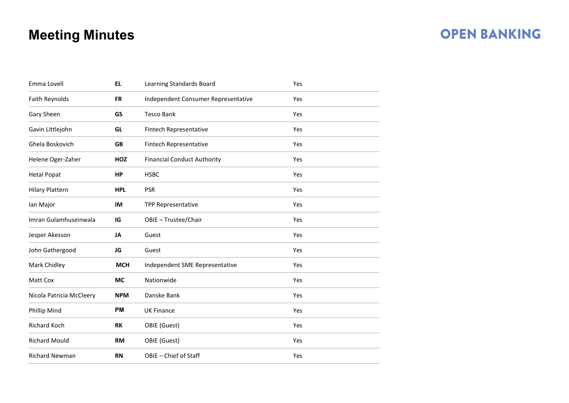### **OPEN BANKING**

| Emma Lovell              | <b>EL</b>  | Learning Standards Board            | Yes |  |
|--------------------------|------------|-------------------------------------|-----|--|
| Faith Reynolds           | <b>FR</b>  | Independent Consumer Representative | Yes |  |
| Gary Sheen               | GS         | <b>Tesco Bank</b>                   | Yes |  |
| Gavin Littlejohn         | GL         | Fintech Representative              | Yes |  |
| Ghela Boskovich          | <b>GB</b>  | Fintech Representative              | Yes |  |
| Helene Oger-Zaher        | <b>HOZ</b> | <b>Financial Conduct Authority</b>  | Yes |  |
| <b>Hetal Popat</b>       | HP         | <b>HSBC</b>                         | Yes |  |
| <b>Hilary Plattern</b>   | <b>HPL</b> | <b>PSR</b>                          | Yes |  |
| Ian Major                | IM         | <b>TPP Representative</b>           | Yes |  |
| Imran Gulamhuseinwala    | IG         | OBIE - Trustee/Chair                | Yes |  |
| Jesper Akesson           | JA         | Guest                               | Yes |  |
| John Gathergood          | JG         | Guest                               | Yes |  |
| Mark Chidley             | <b>MCH</b> | Independent SME Representative      | Yes |  |
| Matt Cox                 | <b>MC</b>  | Nationwide                          | Yes |  |
| Nicola Patricia McCleery | <b>NPM</b> | Danske Bank                         | Yes |  |
| Phillip Mind             | <b>PM</b>  | <b>UK Finance</b>                   | Yes |  |
| Richard Koch             | <b>RK</b>  | OBIE (Guest)                        | Yes |  |
| <b>Richard Mould</b>     | <b>RM</b>  | OBIE (Guest)                        | Yes |  |
| <b>Richard Newman</b>    | <b>RN</b>  | OBIE - Chief of Staff               | Yes |  |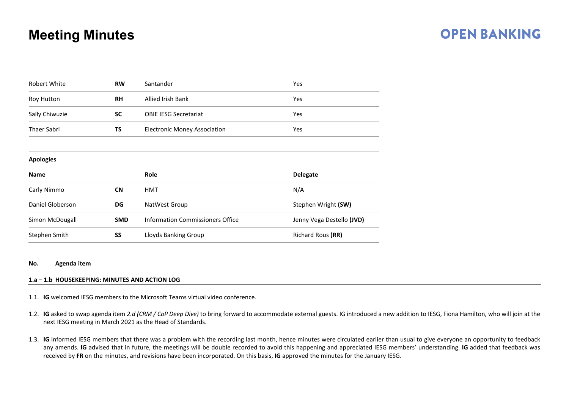### **OPEN BANKING**

| <b>Robert White</b>      | <b>RW</b>  | Santander                                 | Yes                       |  |
|--------------------------|------------|-------------------------------------------|---------------------------|--|
| Roy Hutton               | <b>RH</b>  | <b>Allied Irish Bank</b>                  | Yes                       |  |
| Sally Chiwuzie           | <b>SC</b>  | <b>OBIE IESG Secretariat</b>              | Yes                       |  |
| <b>Thaer Sabri</b><br>TS |            | <b>Electronic Money Association</b>       | Yes                       |  |
|                          |            |                                           |                           |  |
| <b>Apologies</b>         |            |                                           |                           |  |
| <b>Name</b>              |            | <b>Role</b>                               | <b>Delegate</b>           |  |
| Carly Nimmo              | <b>CN</b>  | <b>HMT</b>                                | N/A                       |  |
| Daniel Globerson         | DG         | NatWest Group                             | Stephen Wright (SW)       |  |
| Simon McDougall          | <b>SMD</b> | <b>Information Commissioners Office</b>   | Jenny Vega Destello (JVD) |  |
| Stephen Smith            | SS         | Richard Rous (RR)<br>Lloyds Banking Group |                           |  |
|                          |            |                                           |                           |  |

#### **No. Agenda item**

#### **1.a – 1.b HOUSEKEEPING: MINUTES AND ACTION LOG**

- 1.1. **IG** welcomed IESG members to the Microsoft Teams virtual video conference.
- 1.2. **IG** asked to swap agenda item *2.d (CRM / CoP Deep Dive)* to bring forward to accommodate external guests. IG introduced a new addition to IESG, Fiona Hamilton, who will join at the next IESG meeting in March 2021 as the Head of Standards.
- 1.3. **IG** informed IESG members that there was a problem with the recording last month, hence minutes were circulated earlier than usual to give everyone an opportunity to feedback any amends. **IG** advised that in future, the meetings will be double recorded to avoid this happening and appreciated IESG members' understanding. **IG** added that feedback was received by **FR** on the minutes, and revisions have been incorporated. On this basis, **IG** approved the minutes for the January IESG.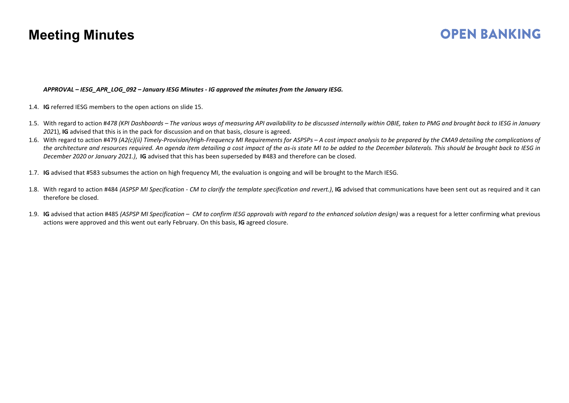### **OPEN BANKING**

#### *APPROVAL – IESG\_APR\_LOG\_092 – January IESG Minutes - IG approved the minutes from the January IESG.*

- 1.4. **IG** referred IESG members to the open actions on slide 15.
- 1.5. With regard to action #*478 (KPI Dashboards – The various ways of measuring API availability to be discussed internally within OBIE, taken to PMG and brought back to IESG in January 202*1), **IG** advised that this is in the pack for discussion and on that basis, closure is agreed.
- 1.6. With regard to action #479 *(A2(c)(ii) Timely-Provision/High-Frequency MI Requirements for ASPSPs – A cost impact analysis to be prepared by the CMA9 detailing the complications of the architecture and resources required. An agenda item detailing a cost impact of the as-is state MI to be added to the December bilaterals. This should be brought back to IESG in December 2020 or January 2021.)*, **IG** advised that this has been superseded by #483 and therefore can be closed.
- 1.7. **IG** advised that #583 subsumes the action on high frequency MI, the evaluation is ongoing and will be brought to the March IESG.
- 1.8. With regard to action #484 *(ASPSP MI Specification - CM to clarify the template specification and revert.)*, **IG** advised that communications have been sent out as required and it can therefore be closed.
- 1.9. **IG** advised that action #485 *(ASPSP MI Specification CM to confirm IESG approvals with regard to the enhanced solution design)* was a request for a letter confirming what previous actions were approved and this went out early February. On this basis, **IG** agreed closure.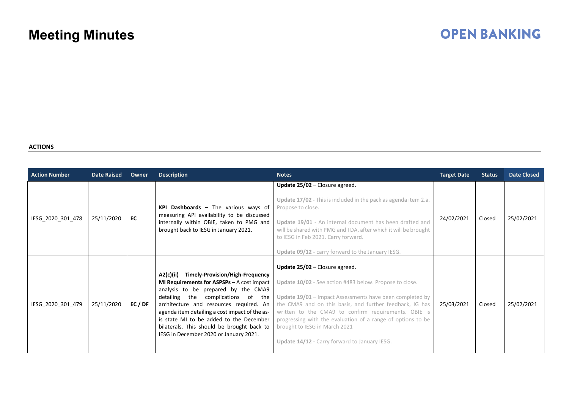# **OPEN BANKING**

#### **ACTIONS**

| <b>Action Number</b> | <b>Date Raised</b> | Owner | <b>Description</b>                                                                                                                                                                                                                                                                                                                                                                                               | <b>Notes</b>                                                                                                                                                                                                                                                                                                                                                                                                                 | <b>Target Date</b> | <b>Status</b> | <b>Date Closed</b> |
|----------------------|--------------------|-------|------------------------------------------------------------------------------------------------------------------------------------------------------------------------------------------------------------------------------------------------------------------------------------------------------------------------------------------------------------------------------------------------------------------|------------------------------------------------------------------------------------------------------------------------------------------------------------------------------------------------------------------------------------------------------------------------------------------------------------------------------------------------------------------------------------------------------------------------------|--------------------|---------------|--------------------|
| IESG_2020_301_478    | 25/11/2020         | EC    | KPI Dashboards - The various ways of<br>measuring API availability to be discussed<br>internally within OBIE, taken to PMG and<br>brought back to IESG in January 2021.                                                                                                                                                                                                                                          | Update $25/02$ – Closure agreed.<br>Update 17/02 - This is included in the pack as agenda item 2.a.<br>Propose to close.<br>Update 19/01 - An internal document has been drafted and<br>will be shared with PMG and TDA, after which it will be brought<br>to IESG in Feb 2021. Carry forward.<br>Update 09/12 - carry forward to the January IESG.                                                                          | 24/02/2021         | Closed        | 25/02/2021         |
| IESG 2020 301 479    | 25/11/2020         | EC/DF | A2(c)(ii) Timely-Provision/High-Frequency<br><b>MI Requirements for ASPSPs</b> $-$ A cost impact<br>analysis to be prepared by the CMA9<br>detailing the<br>complications of the<br>architecture and resources required. An<br>agenda item detailing a cost impact of the as-<br>is state MI to be added to the December<br>bilaterals. This should be brought back to<br>IESG in December 2020 or January 2021. | Update $25/02$ – Closure agreed.<br>Update 10/02 - See action #483 below. Propose to close.<br>Update 19/01 - Impact Assessments have been completed by<br>the CMA9 and on this basis, and further feedback, IG has<br>written to the CMA9 to confirm requirements. OBIE is<br>progressing with the evaluation of a range of options to be<br>brought to IESG in March 2021<br>Update 14/12 - Carry forward to January IESG. | 25/03/2021         | Closed        | 25/02/2021         |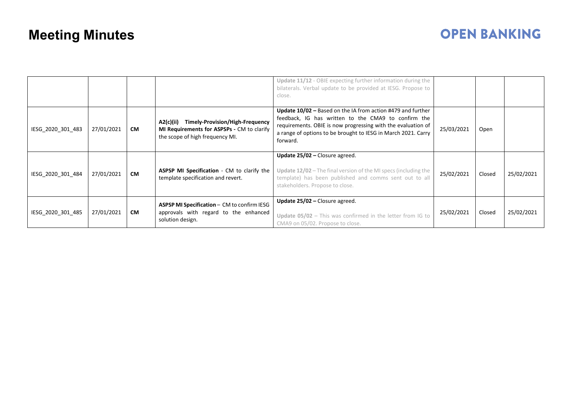# **OPEN BANKING**

|                   |            |           |                                                                                                                            | Update 11/12 - OBIE expecting further information during the<br>bilaterals. Verbal update to be provided at IESG. Propose to<br>close.                                                                                                                          |            |        |            |
|-------------------|------------|-----------|----------------------------------------------------------------------------------------------------------------------------|-----------------------------------------------------------------------------------------------------------------------------------------------------------------------------------------------------------------------------------------------------------------|------------|--------|------------|
| IESG_2020_301_483 | 27/01/2021 | <b>CM</b> | A2(c)(ii) Timely-Provision/High-Frequency<br>MI Requirements for ASPSPs - CM to clarify<br>the scope of high frequency MI. | Update 10/02 – Based on the IA from action #479 and further<br>feedback, IG has written to the CMA9 to confirm the<br>requirements. OBIE is now progressing with the evaluation of<br>a range of options to be brought to IESG in March 2021. Carry<br>forward. | 25/03/2021 | Open   |            |
| IESG_2020_301_484 | 27/01/2021 | <b>CM</b> | ASPSP MI Specification - CM to clarify the<br>template specification and revert.                                           | Update 25/02 - Closure agreed.<br>Update 12/02 – The final version of the MI specs (including the<br>template) has been published and comms sent out to all<br>stakeholders. Propose to close.                                                                  | 25/02/2021 | Closed | 25/02/2021 |
| IESG 2020 301 485 | 27/01/2021 | <b>CM</b> | ASPSP MI Specification - CM to confirm IESG<br>approvals with regard to the enhanced<br>solution design.                   | Update 25/02 - Closure agreed.<br>Update $05/02$ - This was confirmed in the letter from IG to<br>CMA9 on 05/02. Propose to close.                                                                                                                              | 25/02/2021 | Closed | 25/02/2021 |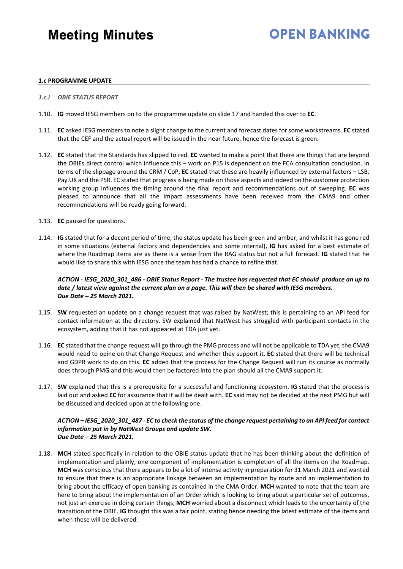## **OPEN BANKING**

#### **1.c PROGRAMME UPDATE**

- *1.c.i OBIE STATUS REPORT*
- 1.10. **IG** moved IESG members on to the programme update on slide 17 and handed this over to **EC**.
- 1.11. **EC** asked IESG members to note a slight change to the current and forecast dates for some workstreams. **EC** stated that the CEF and the actual report will be issued in the near future, hence the forecast is green.
- 1.12. **EC** stated that the Standards has slipped to red. **EC** wanted to make a point that there are things that are beyond the OBIEs direct control which influence this – work on P15 is dependent on the FCA consultation conclusion. In terms of the slippage around the CRM / CoP, **EC** stated that these are heavily influenced by external factors – LSB, Pay.UK and the PSR. EC stated that progress is being made on those aspects and indeed on the customer protection working group influences the timing around the final report and recommendations out of sweeping. **EC** was pleased to announce that all the impact assessments have been received from the CMA9 and other recommendations will be ready going forward.
- 1.13. **EC** paused for questions.
- 1.14. **IG** stated that for a decent period of time, the status update has been green and amber; and whilst it has gone red in some situations (external factors and dependencies and some internal), **IG** has asked for a best estimate of where the Roadmap items are as there is a sense from the RAG status but not a full forecast. **IG** stated that he would like to share this with IESG once the team has had a chance to refine that.

#### *ACTION - IESG\_2020\_301\_486 - OBIE Status Report - The trustee has requested that EC should produce an up to date / latest view against the current plan on a page. This will then be shared with IESG members. Due Date – 25 March 2021.*

- 1.15. **SW** requested an update on a change request that was raised by NatWest; this is pertaining to an API feed for contact information at the directory. SW explained that NatWest has struggled with participant contacts in the ecosystem, adding that it has not appeared at TDA just yet.
- 1.16. **EC** stated that the change request will go through the PMG process and will not be applicable to TDA yet, the CMA9 would need to opine on that Change Request and whether they support it. **EC** stated that there will be technical and GDPR work to do on this. **EC** added that the process for the Change Request will run its course as normally does through PMG and this would then be factored into the plan should all the CMA9 support it.
- 1.17. **SW** explained that this is a prerequisite for a successful and functioning ecosystem. **IG** stated that the process is laid out and asked **EC** for assurance that it will be dealt with. **EC** said may not be decided at the next PMG but will be discussed and decided upon at the following one.

#### *ACTION – IESG\_2020\_301\_487 - EC to check the status of the change request pertaining to an API feed for contact information put in by NatWest Groups and update SW. Due Date – 25 March 2021.*

1.18. **MCH** stated specifically in relation to the OBIE status update that he has been thinking about the definition of implementation and plainly, one component of implementation is completion of all the items on the Roadmap. **MCH** was conscious that there appears to be a lot of intense activity in preparation for 31 March 2021 and wanted to ensure that there is an appropriate linkage between an implementation by route and an implementation to bring about the efficacy of open banking as contained in the CMA Order. **MCH** wanted to note that the team are here to bring about the implementation of an Order which is looking to bring about a particular set of outcomes, not just an exercise in doing certain things; **MCH** worried about a disconnect which leads to the uncertainty of the transition of the OBIE. **IG** thought this was a fair point, stating hence needing the latest estimate of the items and when these will be delivered.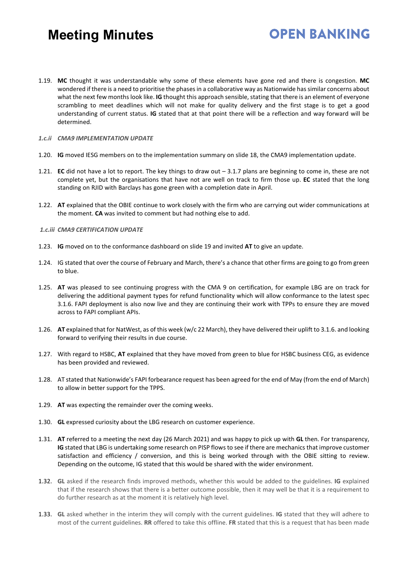1.19. **MC** thought it was understandable why some of these elements have gone red and there is congestion. **MC** wondered if there is a need to prioritise the phases in a collaborative way as Nationwide has similar concerns about what the next few months look like. **IG** thought this approach sensible, stating that there is an element of everyone scrambling to meet deadlines which will not make for quality delivery and the first stage is to get a good understanding of current status. **IG** stated that at that point there will be a reflection and way forward will be determined.

**OPEN BANKING** 

#### *1.c.ii CMA9 IMPLEMENTATION UPDATE*

- 1.20. **IG** moved IESG members on to the implementation summary on slide 18, the CMA9 implementation update.
- 1.21. **EC** did not have a lot to report. The key things to draw out 3.1.7 plans are beginning to come in, these are not complete yet, but the organisations that have not are well on track to firm those up. **EC** stated that the long standing on RJID with Barclays has gone green with a completion date in April.
- 1.22. **AT** explained that the OBIE continue to work closely with the firm who are carrying out wider communications at the moment. **CA** was invited to comment but had nothing else to add.
- *1.c.iii CMA9 CERTIFICATION UPDATE*
- 1.23. **IG** moved on to the conformance dashboard on slide 19 and invited **AT** to give an update.
- 1.24. IG stated that over the course of February and March, there's a chance that other firms are going to go from green to blue.
- 1.25. **AT** was pleased to see continuing progress with the CMA 9 on certification, for example LBG are on track for delivering the additional payment types for refund functionality which will allow conformance to the latest spec 3.1.6. FAPI deployment is also now live and they are continuing their work with TPPs to ensure they are moved across to FAPI compliant APIs.
- 1.26. **AT** explained that for NatWest, as of this week (w/c 22 March), they have delivered their uplift to 3.1.6. and looking forward to verifying their results in due course.
- 1.27. With regard to HSBC, **AT** explained that they have moved from green to blue for HSBC business CEG, as evidence has been provided and reviewed.
- 1.28. AT stated that Nationwide's FAPI forbearance request has been agreed for the end of May (from the end of March) to allow in better support for the TPPS.
- 1.29. **AT** was expecting the remainder over the coming weeks.
- 1.30. **GL** expressed curiosity about the LBG research on customer experience.
- 1.31. **AT** referred to a meeting the next day (26 March 2021) and was happy to pick up with **GL** then. For transparency, **IG** stated that LBG is undertaking some research on PISP flows to see if there are mechanics that improve customer satisfaction and efficiency / conversion, and this is being worked through with the OBIE sitting to review. Depending on the outcome, IG stated that this would be shared with the wider environment.
- 1.32. **GL** asked if the research finds improved methods, whether this would be added to the guidelines. **IG** explained that if the research shows that there is a better outcome possible, then it may well be that it is a requirement to do further research as at the moment it is relatively high level.
- 1.33. **GL** asked whether in the interim they will comply with the current guidelines. **IG** stated that they will adhere to most of the current guidelines. **RR** offered to take this offline. **FR** stated that this is a request that has been made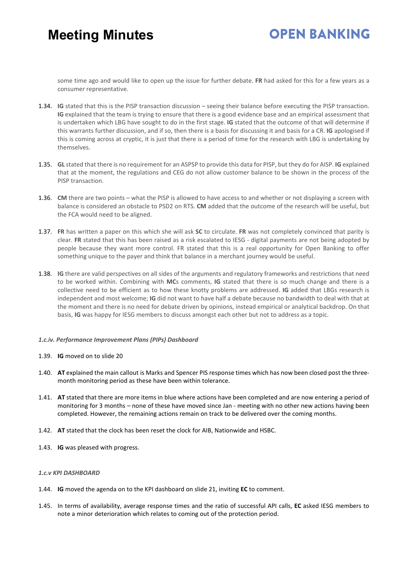# **OPEN BANKING**

some time ago and would like to open up the issue for further debate. **FR** had asked for this for a few years as a consumer representative.

- 1.34. **IG** stated that this is the PISP transaction discussion seeing their balance before executing the PISP transaction. **IG** explained that the team is trying to ensure that there is a good evidence base and an empirical assessment that is undertaken which LBG have sought to do in the first stage. **IG** stated that the outcome of that will determine if this warrants further discussion, and if so, then there is a basis for discussing it and basis for a CR. **IG** apologised if this is coming across at cryptic, it is just that there is a period of time for the research with LBG is undertaking by themselves.
- 1.35. **GL** stated that there is no requirement for an ASPSP to provide this data for PISP, but they do for AISP. **IG** explained that at the moment, the regulations and CEG do not allow customer balance to be shown in the process of the PISP transaction.
- 1.36. **CM** there are two points what the PISP is allowed to have access to and whether or not displaying a screen with balance is considered an obstacle to PSD2 on RTS. **CM** added that the outcome of the research will be useful, but the FCA would need to be aligned.
- 1.37. **FR** has written a paper on this which she will ask **SC** to circulate. **FR** was not completely convinced that parity is clear. **FR** stated that this has been raised as a risk escalated to IESG - digital payments are not being adopted by people because they want more control. FR stated that this is a real opportunity for Open Banking to offer something unique to the payer and think that balance in a merchant journey would be useful.
- 1.38. **IG** there are valid perspectives on all sides of the arguments and regulatory frameworks and restrictions that need to be worked within. Combining with **MC**s comments, **IG** stated that there is so much change and there is a collective need to be efficient as to how these knotty problems are addressed. **IG** added that LBGs research is independent and most welcome; **IG** did not want to have half a debate because no bandwidth to deal with that at the moment and there is no need for debate driven by opinions, instead empirical or analytical backdrop. On that basis, **IG** was happy for IESG members to discuss amongst each other but not to address as a topic.

#### *1.c.iv. Performance Improvement Plans (PIPs) Dashboard*

- 1.39. **IG** moved on to slide 20
- 1.40. **AT** explained the main callout is Marks and Spencer PIS response times which has now been closed post the threemonth monitoring period as these have been within tolerance.
- 1.41. **AT** stated that there are more items in blue where actions have been completed and are now entering a period of monitoring for 3 months – none of these have moved since Jan - meeting with no other new actions having been completed. However, the remaining actions remain on track to be delivered over the coming months.
- 1.42. **AT** stated that the clock has been reset the clock for AIB, Nationwide and HSBC.
- 1.43. **IG** was pleased with progress.

#### *1.c.v KPI DASHBOARD*

- 1.44. **IG** moved the agenda on to the KPI dashboard on slide 21, inviting **EC** to comment.
- 1.45. In terms of availability, average response times and the ratio of successful API calls, **EC** asked IESG members to note a minor deterioration which relates to coming out of the protection period.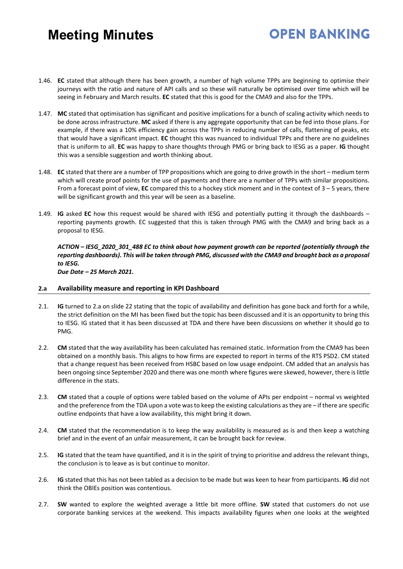# **OPEN BANKING**

- 1.46. **EC** stated that although there has been growth, a number of high volume TPPs are beginning to optimise their journeys with the ratio and nature of API calls and so these will naturally be optimised over time which will be seeing in February and March results. **EC** stated that this is good for the CMA9 and also for the TPPs.
- 1.47. **MC** stated that optimisation has significant and positive implications for a bunch of scaling activity which needs to be done across infrastructure. **MC** asked if there is any aggregate opportunity that can be fed into those plans. For example, if there was a 10% efficiency gain across the TPPs in reducing number of calls, flattening of peaks, etc that would have a significant impact. **EC** thought this was nuanced to individual TPPs and there are no guidelines that is uniform to all. **EC** was happy to share thoughts through PMG or bring back to IESG as a paper. **IG** thought this was a sensible suggestion and worth thinking about.
- 1.48. **EC** stated that there are a number of TPP propositions which are going to drive growth in the short medium term which will create proof points for the use of payments and there are a number of TPPs with similar propositions. From a forecast point of view, **EC** compared this to a hockey stick moment and in the context of 3 – 5 years, there will be significant growth and this year will be seen as a baseline.
- 1.49. **IG** asked **EC** how this request would be shared with IESG and potentially putting it through the dashboards reporting payments growth. EC suggested that this is taken through PMG with the CMA9 and bring back as a proposal to IESG.

*ACTION – IESG\_2020\_301\_488 EC to think about how payment growth can be reported (potentially through the reporting dashboards). This will be taken through PMG, discussed with the CMA9 and brought back as a proposal to IESG.* 

*Due Date – 25 March 2021.* 

#### **2.a Availability measure and reporting in KPI Dashboard**

- 2.1. **IG** turned to 2.a on slide 22 stating that the topic of availability and definition has gone back and forth for a while, the strict definition on the MI has been fixed but the topic has been discussed and it is an opportunity to bring this to IESG. IG stated that it has been discussed at TDA and there have been discussions on whether it should go to PMG.
- 2.2. **CM** stated that the way availability has been calculated has remained static. Information from the CMA9 has been obtained on a monthly basis. This aligns to how firms are expected to report in terms of the RTS PSD2. CM stated that a change request has been received from HSBC based on low usage endpoint. CM added that an analysis has been ongoing since September 2020 and there was one month where figures were skewed, however, there is little difference in the stats.
- 2.3. **CM** stated that a couple of options were tabled based on the volume of APIs per endpoint normal vs weighted and the preference from the TDA upon a vote was to keep the existing calculations as they are – if there are specific outline endpoints that have a low availability, this might bring it down.
- 2.4. **CM** stated that the recommendation is to keep the way availability is measured as is and then keep a watching brief and in the event of an unfair measurement, it can be brought back for review.
- 2.5. **IG** stated that the team have quantified, and it is in the spirit of trying to prioritise and address the relevant things, the conclusion is to leave as is but continue to monitor.
- 2.6. **IG** stated that this has not been tabled as a decision to be made but was keen to hear from participants. **IG** did not think the OBIEs position was contentious.
- 2.7. **SW** wanted to explore the weighted average a little bit more offline. **SW** stated that customers do not use corporate banking services at the weekend. This impacts availability figures when one looks at the weighted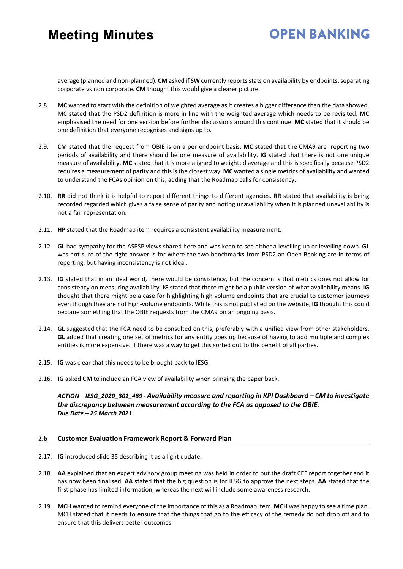# **OPEN BANKING**

average (planned and non-planned). **CM** asked if **SW** currently reports stats on availability by endpoints, separating corporate vs non corporate. **CM** thought this would give a clearer picture.

- 2.8. **MC** wanted to start with the definition of weighted average as it creates a bigger difference than the data showed. MC stated that the PSD2 definition is more in line with the weighted average which needs to be revisited. **MC** emphasised the need for one version before further discussions around this continue. **MC** stated that it should be one definition that everyone recognises and signs up to.
- 2.9. **CM** stated that the request from OBIE is on a per endpoint basis. **MC** stated that the CMA9 are reporting two periods of availability and there should be one measure of availability. **IG** stated that there is not one unique measure of availability. **MC** stated that it is more aligned to weighted average and this is specifically because PSD2 requires a measurement of parity and this is the closest way. **MC** wanted a single metrics of availability and wanted to understand the FCAs opinion on this, adding that the Roadmap calls for consistency.
- 2.10. **RR** did not think it is helpful to report different things to different agencies. **RR** stated that availability is being recorded regarded which gives a false sense of parity and noting unavailability when it is planned unavailability is not a fair representation.
- 2.11. **HP** stated that the Roadmap item requires a consistent availability measurement.
- 2.12. **GL** had sympathy for the ASPSP views shared here and was keen to see either a levelling up or levelling down. **GL** was not sure of the right answer is for where the two benchmarks from PSD2 an Open Banking are in terms of reporting, but having inconsistency is not ideal.
- 2.13. **IG** stated that in an ideal world, there would be consistency, but the concern is that metrics does not allow for consistency on measuring availability. IG stated that there might be a public version of what availability means. I**G**  thought that there might be a case for highlighting high volume endpoints that are crucial to customer journeys even though they are not high-volume endpoints. While this is not published on the website, **IG** thought this could become something that the OBIE requests from the CMA9 on an ongoing basis.
- 2.14. **GL** suggested that the FCA need to be consulted on this, preferably with a unified view from other stakeholders. **GL** added that creating one set of metrics for any entity goes up because of having to add multiple and complex entities is more expensive. If there was a way to get this sorted out to the benefit of all parties.
- 2.15. **IG** was clear that this needs to be brought back to IESG.
- 2.16. **IG** asked **CM** to include an FCA view of availability when bringing the paper back.

*ACTION – IESG\_2020\_301\_489 - Availability measure and reporting in KPI Dashboard – CM to investigate the discrepancy between measurement according to the FCA as opposed to the OBIE. Due Date – 25 March 2021* 

#### **2.b Customer Evaluation Framework Report & Forward Plan**

- 2.17. **IG** introduced slide 35 describing it as a light update.
- 2.18. **AA** explained that an expert advisory group meeting was held in order to put the draft CEF report together and it has now been finalised. **AA** stated that the big question is for IESG to approve the next steps. **AA** stated that the first phase has limited information, whereas the next will include some awareness research.
- 2.19. **MCH** wanted to remind everyone of the importance of this as a Roadmap item. **MCH** was happy to see a time plan. MCH stated that it needs to ensure that the things that go to the efficacy of the remedy do not drop off and to ensure that this delivers better outcomes.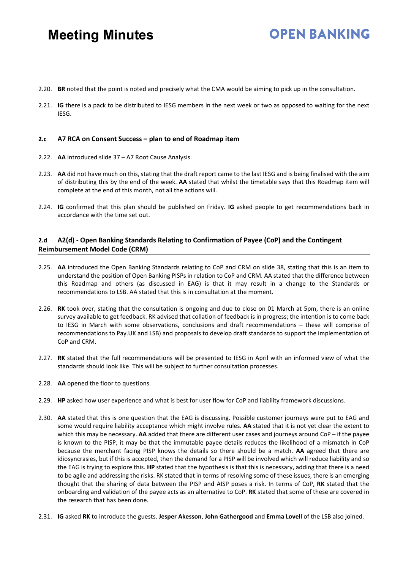### **OPEN BANKING**

- 2.20. **BR** noted that the point is noted and precisely what the CMA would be aiming to pick up in the consultation.
- 2.21. **IG** there is a pack to be distributed to IESG members in the next week or two as opposed to waiting for the next IESG.

#### **2.c A7 RCA on Consent Success – plan to end of Roadmap item**

- 2.22. **AA** introduced slide 37 A7 Root Cause Analysis.
- 2.23. **AA** did not have much on this, stating that the draft report came to the last IESG and is being finalised with the aim of distributing this by the end of the week. **AA** stated that whilst the timetable says that this Roadmap item will complete at the end of this month, not all the actions will.
- 2.24. **IG** confirmed that this plan should be published on Friday. **IG** asked people to get recommendations back in accordance with the time set out.

#### **2.d A2(d) - Open Banking Standards Relating to Confirmation of Payee (CoP) and the Contingent Reimbursement Model Code (CRM)**

- 2.25. **AA** introduced the Open Banking Standards relating to CoP and CRM on slide 38, stating that this is an item to understand the position of Open Banking PISPs in relation to CoP and CRM. AA stated that the difference between this Roadmap and others (as discussed in EAG) is that it may result in a change to the Standards or recommendations to LSB. AA stated that this is in consultation at the moment.
- 2.26. **RK** took over, stating that the consultation is ongoing and due to close on 01 March at 5pm, there is an online survey available to get feedback. RK advised that collation of feedback is in progress; the intention is to come back to IESG in March with some observations, conclusions and draft recommendations – these will comprise of recommendations to Pay.UK and LSB) and proposals to develop draft standards to support the implementation of CoP and CRM.
- 2.27. **RK** stated that the full recommendations will be presented to IESG in April with an informed view of what the standards should look like. This will be subject to further consultation processes.
- 2.28. **AA** opened the floor to questions.
- 2.29. **HP** asked how user experience and what is best for user flow for CoP and liability framework discussions.
- 2.30. **AA** stated that this is one question that the EAG is discussing. Possible customer journeys were put to EAG and some would require liability acceptance which might involve rules. **AA** stated that it is not yet clear the extent to which this may be necessary. **AA** added that there are different user cases and journeys around CoP – if the payee is known to the PISP, it may be that the immutable payee details reduces the likelihood of a mismatch in CoP because the merchant facing PISP knows the details so there should be a match. **AA** agreed that there are idiosyncrasies, but if this is accepted, then the demand for a PISP will be involved which will reduce liability and so the EAG is trying to explore this. **HP** stated that the hypothesis is that this is necessary, adding that there is a need to be agile and addressing the risks. RK stated that in terms of resolving some of these issues, there is an emerging thought that the sharing of data between the PISP and AISP poses a risk. In terms of CoP, **RK** stated that the onboarding and validation of the payee acts as an alternative to CoP. **RK** stated that some of these are covered in the research that has been done.
- 2.31. **IG** asked **RK** to introduce the guests. **Jesper Akesson**, **John Gathergood** and **Emma Lovell** of the LSB also joined.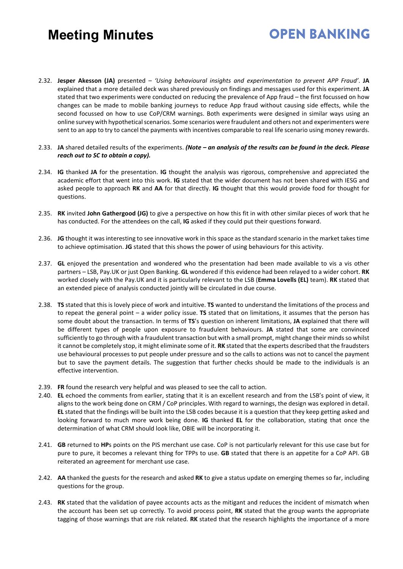2.32. **Jesper Akesson (JA)** presented – *'Using behavioural insights and experimentation to prevent APP Fraud'*. **JA** explained that a more detailed deck was shared previously on findings and messages used for this experiment. **JA** stated that two experiments were conducted on reducing the prevalence of App fraud – the first focussed on how changes can be made to mobile banking journeys to reduce App fraud without causing side effects, while the second focussed on how to use CoP/CRM warnings. Both experiments were designed in similar ways using an online survey with hypothetical scenarios. Some scenarios were fraudulent and others not and experimenters were sent to an app to try to cancel the payments with incentives comparable to real life scenario using money rewards.

**OPEN BANKING** 

- 2.33. **JA** shared detailed results of the experiments. *(Note – an analysis of the results can be found in the deck. Please reach out to SC to obtain a copy).*
- 2.34. **IG** thanked **JA** for the presentation. **IG** thought the analysis was rigorous, comprehensive and appreciated the academic effort that went into this work. **IG** stated that the wider document has not been shared with IESG and asked people to approach **RK** and **AA** for that directly. **IG** thought that this would provide food for thought for questions.
- 2.35. **RK** invited **John Gathergood (JG)** to give a perspective on how this fit in with other similar pieces of work that he has conducted. For the attendees on the call, **IG** asked if they could put their questions forward.
- 2.36. **JG** thought it was interesting to see innovative work in this space as the standard scenario in the market takes time to achieve optimisation. **JG** stated that this shows the power of using behaviours for this activity.
- 2.37. **GL** enjoyed the presentation and wondered who the presentation had been made available to vis a vis other partners – LSB, Pay.UK or just Open Banking. **GL** wondered if this evidence had been relayed to a wider cohort. **RK**  worked closely with the Pay.UK and it is particularly relevant to the LSB (**Emma Lovells (EL)** team). **RK** stated that an extended piece of analysis conducted jointly will be circulated in due course.
- 2.38. **TS** stated that this is lovely piece of work and intuitive. **TS** wanted to understand the limitations of the process and to repeat the general point – a wider policy issue. **TS** stated that on limitations, it assumes that the person has some doubt about the transaction. In terms of **TS**'s question on inherent limitations, **JA** explained that there will be different types of people upon exposure to fraudulent behaviours. **JA** stated that some are convinced sufficiently to go through with a fraudulent transaction but with a small prompt, might change their minds so whilst it cannot be completely stop, it might eliminate some of it. **RK** stated that the experts described that the fraudsters use behavioural processes to put people under pressure and so the calls to actions was not to cancel the payment but to save the payment details. The suggestion that further checks should be made to the individuals is an effective intervention.
- 2.39. **FR** found the research very helpful and was pleased to see the call to action.
- 2.40. **EL** echoed the comments from earlier, stating that it is an excellent research and from the LSB's point of view, it aligns to the work being done on CRM / CoP principles. With regard to warnings, the design was explored in detail. **EL** stated that the findings will be built into the LSB codes because it is a question that they keep getting asked and looking forward to much more work being done. **IG** thanked **EL** for the collaboration, stating that once the determination of what CRM should look like, OBIE will be incorporating it.
- 2.41. **GB** returned to **HP**s points on the PIS merchant use case. CoP is not particularly relevant for this use case but for pure to pure, it becomes a relevant thing for TPPs to use. **GB** stated that there is an appetite for a CoP API. GB reiterated an agreement for merchant use case.
- 2.42. **AA** thanked the guests for the research and asked **RK** to give a status update on emerging themes so far, including questions for the group.
- 2.43. **RK** stated that the validation of payee accounts acts as the mitigant and reduces the incident of mismatch when the account has been set up correctly. To avoid process point, **RK** stated that the group wants the appropriate tagging of those warnings that are risk related. **RK** stated that the research highlights the importance of a more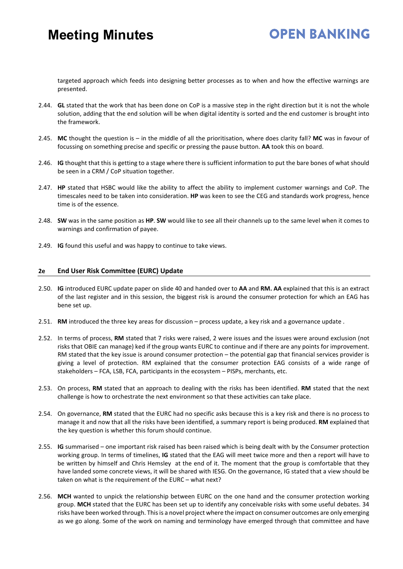### **OPEN BANKING**

targeted approach which feeds into designing better processes as to when and how the effective warnings are presented.

- 2.44. **GL** stated that the work that has been done on CoP is a massive step in the right direction but it is not the whole solution, adding that the end solution will be when digital identity is sorted and the end customer is brought into the framework.
- 2.45. **MC** thought the question is in the middle of all the prioritisation, where does clarity fall? **MC** was in favour of focussing on something precise and specific or pressing the pause button. **AA** took this on board.
- 2.46. **IG** thought that this is getting to a stage where there is sufficient information to put the bare bones of what should be seen in a CRM / CoP situation together.
- 2.47. **HP** stated that HSBC would like the ability to affect the ability to implement customer warnings and CoP. The timescales need to be taken into consideration. **HP** was keen to see the CEG and standards work progress, hence time is of the essence.
- 2.48. **SW** was in the same position as **HP**. **SW** would like to see all their channels up to the same level when it comes to warnings and confirmation of payee.
- 2.49. **IG** found this useful and was happy to continue to take views.

#### **2e End User Risk Committee (EURC) Update**

- 2.50. **IG** introduced EURC update paper on slide 40 and handed over to **AA** and **RM. AA** explained that this is an extract of the last register and in this session, the biggest risk is around the consumer protection for which an EAG has bene set up.
- 2.51. **RM** introduced the three key areas for discussion process update, a key risk and a governance update .
- 2.52. In terms of process, **RM** stated that 7 risks were raised, 2 were issues and the issues were around exclusion (not risks that OBIE can manage) ked if the group wants EURC to continue and if there are any points for improvement. RM stated that the key issue is around consumer protection – the potential gap that financial services provider is giving a level of protection. RM explained that the consumer protection EAG consists of a wide range of stakeholders – FCA, LSB, FCA, participants in the ecosystem – PISPs, merchants, etc.
- 2.53. On process, **RM** stated that an approach to dealing with the risks has been identified. **RM** stated that the next challenge is how to orchestrate the next environment so that these activities can take place.
- 2.54. On governance, **RM** stated that the EURC had no specific asks because this is a key risk and there is no process to manage it and now that all the risks have been identified, a summary report is being produced. **RM** explained that the key question is whether this forum should continue.
- 2.55. **IG** summarised one important risk raised has been raised which is being dealt with by the Consumer protection working group. In terms of timelines, **IG** stated that the EAG will meet twice more and then a report will have to be written by himself and Chris Hemsley at the end of it. The moment that the group is comfortable that they have landed some concrete views, it will be shared with IESG. On the governance, IG stated that a view should be taken on what is the requirement of the EURC – what next?
- 2.56. **MCH** wanted to unpick the relationship between EURC on the one hand and the consumer protection working group. **MCH** stated that the EURC has been set up to identify any conceivable risks with some useful debates. 34 risks have been worked through. This is a novel project where the impact on consumer outcomes are only emerging as we go along. Some of the work on naming and terminology have emerged through that committee and have